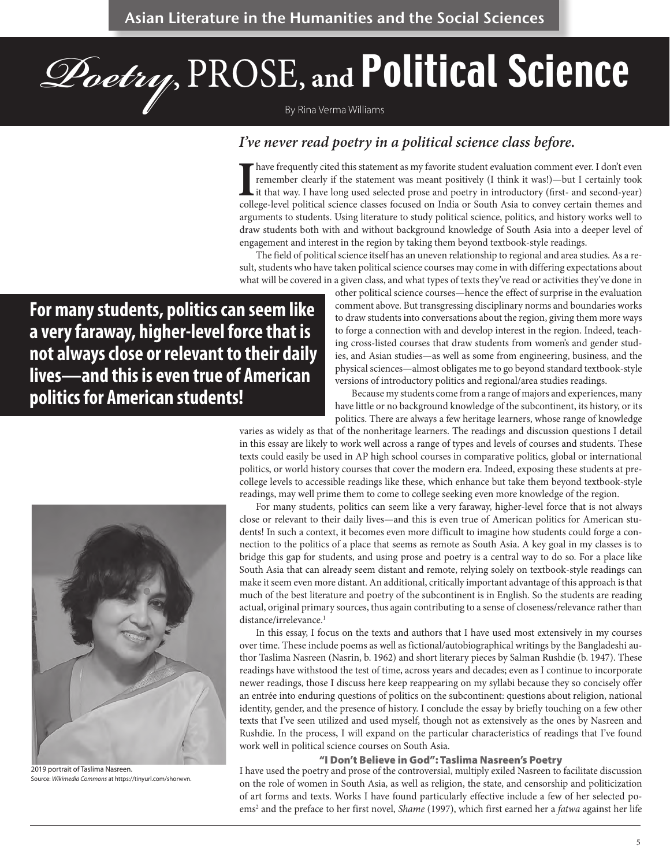# *Poetry***,** PROSE**, and** Political Science

By Rina Verma Williams

### *I've never read poetry in a political science class before.*

I have frequently cited this statement as my favorite student evaluation comment ever. I don't even<br>remember clearly if the statement was meant positively (I think it was!)—but I certainly took<br>it that way. I have long use remember clearly if the statement was meant positively (I think it was!)—but I certainly took it that way. I have long used selected prose and poetry in introductory (first- and second-year) college-level political science classes focused on India or South Asia to convey certain themes and arguments to students. Using literature to study political science, politics, and history works well to draw students both with and without background knowledge of South Asia into a deeper level of engagement and interest in the region by taking them beyond textbook-style readings.

The field of political science itself has an uneven relationship to regional and area studies. As a result, students who have taken political science courses may come in with differing expectations about what will be covered in a given class, and what types of texts they've read or activities they've done in

**For many students, politics can seem like a very faraway, higher-level force that is not always close or relevant to their daily lives—and this is even true of American politics for American students!**

other political science courses—hence the effect of surprise in the evaluation comment above. But transgressing disciplinary norms and boundaries works to draw students into conversations about the region, giving them more ways to forge a connection with and develop interest in the region. Indeed, teaching cross-listed courses that draw students from women's and gender studies, and Asian studies—as well as some from engineering, business, and the physical sciences—almost obligates me to go beyond standard textbook-style versions of introductory politics and regional/area studies readings.

Because my students come from a range of majors and experiences, many have little or no background knowledge of the subcontinent, its history, or its politics. There are always a few heritage learners, whose range of knowledge

varies as widely as that of the nonheritage learners. The readings and discussion questions I detail in this essay are likely to work well across a range of types and levels of courses and students. These texts could easily be used in AP high school courses in comparative politics, global or international politics, or world history courses that cover the modern era. Indeed, exposing these students at precollege levels to accessible readings like these, which enhance but take them beyond textbook-style readings, may well prime them to come to college seeking even more knowledge of the region.

For many students, politics can seem like a very faraway, higher-level force that is not always close or relevant to their daily lives—and this is even true of American politics for American students! In such a context, it becomes even more difficult to imagine how students could forge a connection to the politics of a place that seems as remote as South Asia. A key goal in my classes is to bridge this gap for students, and using prose and poetry is a central way to do so. For a place like South Asia that can already seem distant and remote, relying solely on textbook-style readings can make it seem even more distant. An additional, critically important advantage of this approach is that much of the best literature and poetry of the subcontinent is in English. So the students are reading actual, original primary sources, thus again contributing to a sense of closeness/relevance rather than distance/irrelevance.<sup>1</sup>

In this essay, I focus on the texts and authors that I have used most extensively in my courses over time. These include poems as well as fictional/autobiographical writings by the Bangladeshi author Taslima Nasreen (Nasrin, b. 1962) and short literary pieces by Salman Rushdie (b. 1947). These readings have withstood the test of time, across years and decades; even as I continue to incorporate newer readings, those I discuss here keep reappearing on my syllabi because they so concisely offer an entrée into enduring questions of politics on the subcontinent: questions about religion, national identity, gender, and the presence of history. I conclude the essay by briefly touching on a few other texts that I've seen utilized and used myself, though not as extensively as the ones by Nasreen and Rushdie. In the process, I will expand on the particular characteristics of readings that I've found work well in political science courses on South Asia.

#### "I Don't Believe in God": Taslima Nasreen's Poetry

I have used the poetry and prose of the controversial, multiply exiled Nasreen to facilitate discussion on the role of women in South Asia, as well as religion, the state, and censorship and politicization of art forms and texts. Works I have found particularly effective include a few of her selected poems<sup>2</sup> and the preface to her first novel, *Shame* (1997), which first earned her a *fatwa* against her life



2019 portrait of Taslima Nasreen. Source: *Wikimedia Commons* at https://tinyurl.com/shorwvn.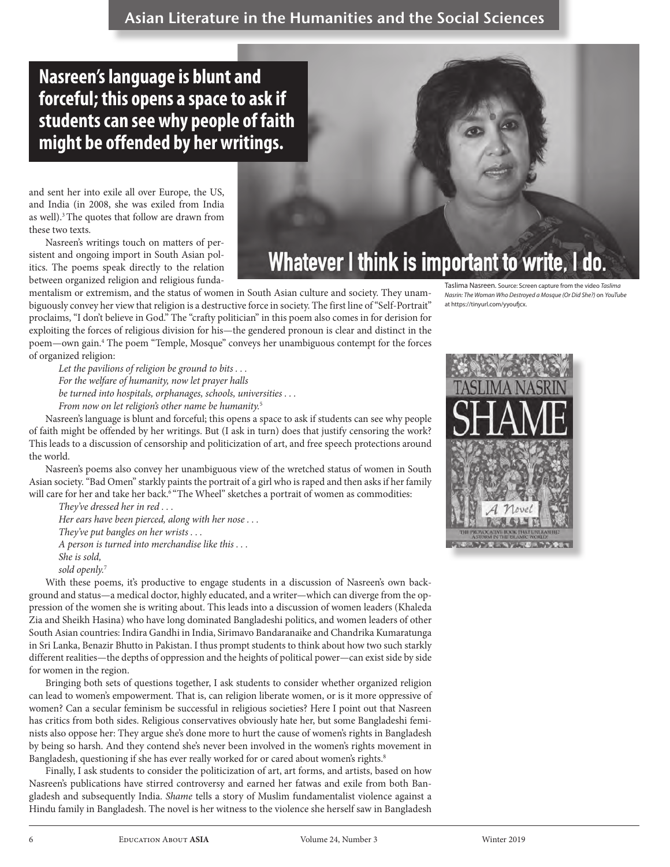## **Nasreen's language is blunt and forceful; this opens a space to ask if students can see why people of faith might be offended by her writings.**

and sent her into exile all over Europe, the US, and India (in 2008, she was exiled from India as well).<sup>3</sup> The quotes that follow are drawn from these two texts.

Nasreen's writings touch on matters of persistent and ongoing import in South Asian politics. The poems speak directly to the relation between organized religion and religious funda-



mentalism or extremism, and the status of women in South Asian culture and society. They unambiguously convey her view that religion is a destructive force in society. The first line of "Self-Portrait" proclaims, "I don't believe in God." The "crafty politician" in this poem also comes in for derision for exploiting the forces of religious division for his—the gendered pronoun is clear and distinct in the poem—own gain.4 The poem "Temple, Mosque" conveys her unambiguous contempt for the forces of organized religion:

*Let the pavilions of religion be ground to bits . . . For the welfare of humanity, now let prayer halls be turned into hospitals, orphanages, schools, universities . . . From now on let religion's other name be humanity.*<sup>5</sup>

Nasreen's language is blunt and forceful; this opens a space to ask if students can see why people of faith might be offended by her writings. But (I ask in turn) does that justify censoring the work? This leads to a discussion of censorship and politicization of art, and free speech protections around the world.

Nasreen's poems also convey her unambiguous view of the wretched status of women in South Asian society. "Bad Omen" starkly paints the portrait of a girl who is raped and then asks if her family will care for her and take her back.<sup>6 "T</sup>he Wheel" sketches a portrait of women as commodities:

*They've dressed her in red . . . Her ears have been pierced, along with her nose . . . They've put bangles on her wrists . . . A person is turned into merchandise like this . . . She is sold, sold openly.*<sup>7</sup>

With these poems, it's productive to engage students in a discussion of Nasreen's own background and status—a medical doctor, highly educated, and a writer—which can diverge from the oppression of the women she is writing about. This leads into a discussion of women leaders (Khaleda Zia and Sheikh Hasina) who have long dominated Bangladeshi politics, and women leaders of other South Asian countries: Indira Gandhi in India, Sirimavo Bandaranaike and Chandrika Kumaratunga in Sri Lanka, Benazir Bhutto in Pakistan. I thus prompt students to think about how two such starkly different realities—the depths of oppression and the heights of political power—can exist side by side for women in the region.

Bringing both sets of questions together, I ask students to consider whether organized religion can lead to women's empowerment. That is, can religion liberate women, or is it more oppressive of women? Can a secular feminism be successful in religious societies? Here I point out that Nasreen has critics from both sides. Religious conservatives obviously hate her, but some Bangladeshi feminists also oppose her: They argue she's done more to hurt the cause of women's rights in Bangladesh by being so harsh. And they contend she's never been involved in the women's rights movement in Bangladesh, questioning if she has ever really worked for or cared about women's rights.<sup>8</sup>

Finally, I ask students to consider the politicization of art, art forms, and artists, based on how Nasreen's publications have stirred controversy and earned her fatwas and exile from both Bangladesh and subsequently India. *Shame* tells a story of Muslim fundamentalist violence against a Hindu family in Bangladesh. The novel is her witness to the violence she herself saw in Bangladesh

Taslima Nasreen. Source: Screen capture from the video *Taslima Nasrin: The Woman Who Destroyed a Mosque (Or Did She?)* on *YouTube* at https://tinyurl.com/yyoufjcx.

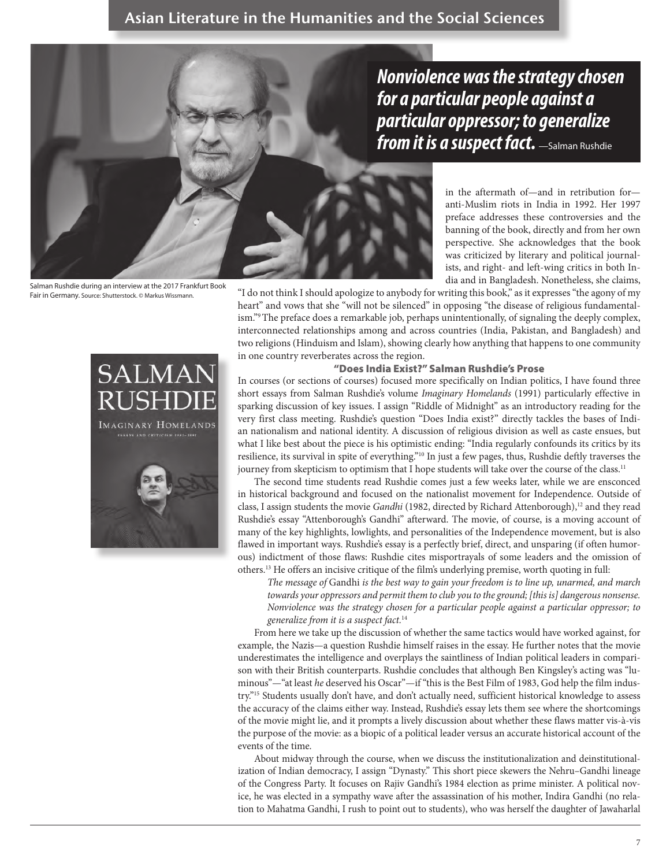*Nonviolence was the strategy chosen for a particular people against a particular oppressor; to generalize from it is a suspect fact.* —Salman Rushdie

> in the aftermath of—and in retribution for anti-Muslim riots in India in 1992. Her 1997 preface addresses these controversies and the banning of the book, directly and from her own perspective. She acknowledges that the book was criticized by literary and political journalists, and right- and left-wing critics in both India and in Bangladesh. Nonetheless, she claims,

"I do not think I should apologize to anybody for writing this book," as it expresses "the agony of my heart" and vows that she "will not be silenced" in opposing "the disease of religious fundamentalism."9 The preface does a remarkable job, perhaps unintentionally, of signaling the deeply complex, interconnected relationships among and across countries (India, Pakistan, and Bangladesh) and two religions (Hinduism and Islam), showing clearly how anything that happens to one community in one country reverberates across the region.

#### "Does India Exist?" Salman Rushdie's Prose

In courses (or sections of courses) focused more specifically on Indian politics, I have found three short essays from Salman Rushdie's volume *Imaginary Homelands* (1991) particularly effective in sparking discussion of key issues. I assign "Riddle of Midnight" as an introductory reading for the very first class meeting. Rushdie's question "Does India exist?" directly tackles the bases of Indian nationalism and national identity. A discussion of religious division as well as caste ensues, but what I like best about the piece is his optimistic ending: "India regularly confounds its critics by its resilience, its survival in spite of everything."10 In just a few pages, thus, Rushdie deftly traverses the journey from skepticism to optimism that I hope students will take over the course of the class.<sup>11</sup>

The second time students read Rushdie comes just a few weeks later, while we are ensconced in historical background and focused on the nationalist movement for Independence. Outside of class, I assign students the movie *Gandhi* (1982, directed by Richard Attenborough),<sup>12</sup> and they read Rushdie's essay "Attenborough's Gandhi" afterward. The movie, of course, is a moving account of many of the key highlights, lowlights, and personalities of the Independence movement, but is also flawed in important ways. Rushdie's essay is a perfectly brief, direct, and unsparing (if often humorous) indictment of those flaws: Rushdie cites misportrayals of some leaders and the omission of others.13 He offers an incisive critique of the film's underlying premise, worth quoting in full:

*The message of* Gandhi *is the best way to gain your freedom is to line up, unarmed, and march towards your oppressors and permit them to club you to the ground; [this is] dangerous nonsense. Nonviolence was the strategy chosen for a particular people against a particular oppressor; to generalize from it is a suspect fact.*<sup>14</sup>

From here we take up the discussion of whether the same tactics would have worked against, for example, the Nazis—a question Rushdie himself raises in the essay. He further notes that the movie underestimates the intelligence and overplays the saintliness of Indian political leaders in comparison with their British counterparts. Rushdie concludes that although Ben Kingsley's acting was "luminous"—"at least *he* deserved his Oscar"—if "this is the Best Film of 1983, God help the film industry."15 Students usually don't have, and don't actually need, sufficient historical knowledge to assess the accuracy of the claims either way. Instead, Rushdie's essay lets them see where the shortcomings of the movie might lie, and it prompts a lively discussion about whether these flaws matter vis-à-vis the purpose of the movie: as a biopic of a political leader versus an accurate historical account of the events of the time.

About midway through the course, when we discuss the institutionalization and deinstitutionalization of Indian democracy, I assign "Dynasty." This short piece skewers the Nehru–Gandhi lineage of the Congress Party. It focuses on Rajiv Gandhi's 1984 election as prime minister. A political novice, he was elected in a sympathy wave after the assassination of his mother, Indira Gandhi (no relation to Mahatma Gandhi, I rush to point out to students), who was herself the daughter of Jawaharlal

Salman Rushdie during an interview at the 2017 Frankfurt Book Fair in Germany. Source: Shutterstock. © Markus Wissmann.

**IMAGINARY HOMELANDS** 

**SAYS AND CRITICISM 1981-199** 

**SALMAN** 

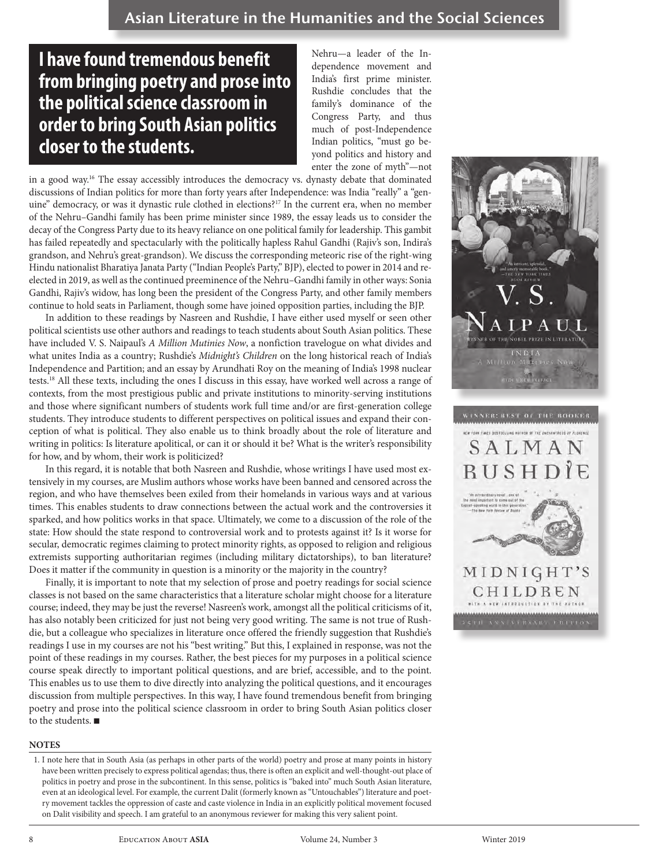## **I have found tremendous benefit from bringing poetry and prose into the political science classroom in order to bring South Asian politics closer to the students.**

Nehru—a leader of the Independence movement and India's first prime minister. Rushdie concludes that the family's dominance of the Congress Party, and thus much of post-Independence Indian politics, "must go beyond politics and history and enter the zone of myth"—not

in a good way.<sup>16</sup> The essay accessibly introduces the democracy vs. dynasty debate that dominated discussions of Indian politics for more than forty years after Independence: was India "really" a "genuine" democracy, or was it dynastic rule clothed in elections?<sup>17</sup> In the current era, when no member of the Nehru–Gandhi family has been prime minister since 1989, the essay leads us to consider the decay of the Congress Party due to its heavy reliance on one political family for leadership. This gambit has failed repeatedly and spectacularly with the politically hapless Rahul Gandhi (Rajiv's son, Indira's grandson, and Nehru's great-grandson). We discuss the corresponding meteoric rise of the right-wing Hindu nationalist Bharatiya Janata Party ("Indian People's Party," BJP), elected to power in 2014 and reelected in 2019, as well as the continued preeminence of the Nehru–Gandhi family in other ways: Sonia Gandhi, Rajiv's widow, has long been the president of the Congress Party, and other family members continue to hold seats in Parliament, though some have joined opposition parties, including the BJP.

In addition to these readings by Nasreen and Rushdie, I have either used myself or seen other political scientists use other authors and readings to teach students about South Asian politics. These have included V. S. Naipaul's *A Million Mutinies Now*, a nonfiction travelogue on what divides and what unites India as a country; Rushdie's *Midnight's Children* on the long historical reach of India's Independence and Partition; and an essay by Arundhati Roy on the meaning of India's 1998 nuclear tests.18 All these texts, including the ones I discuss in this essay, have worked well across a range of contexts, from the most prestigious public and private institutions to minority-serving institutions and those where significant numbers of students work full time and/or are first-generation college students. They introduce students to different perspectives on political issues and expand their conception of what is political. They also enable us to think broadly about the role of literature and writing in politics: Is literature apolitical, or can it or should it be? What is the writer's responsibility for how, and by whom, their work is politicized?

In this regard, it is notable that both Nasreen and Rushdie, whose writings I have used most extensively in my courses, are Muslim authors whose works have been banned and censored across the region, and who have themselves been exiled from their homelands in various ways and at various times. This enables students to draw connections between the actual work and the controversies it sparked, and how politics works in that space. Ultimately, we come to a discussion of the role of the state: How should the state respond to controversial work and to protests against it? Is it worse for secular, democratic regimes claiming to protect minority rights, as opposed to religion and religious extremists supporting authoritarian regimes (including military dictatorships), to ban literature? Does it matter if the community in question is a minority or the majority in the country?

Finally, it is important to note that my selection of prose and poetry readings for social science classes is not based on the same characteristics that a literature scholar might choose for a literature course; indeed, they may be just the reverse! Nasreen's work, amongst all the political criticisms of it, has also notably been criticized for just not being very good writing. The same is not true of Rushdie, but a colleague who specializes in literature once offered the friendly suggestion that Rushdie's readings I use in my courses are not his "best writing." But this, I explained in response, was not the point of these readings in my courses. Rather, the best pieces for my purposes in a political science course speak directly to important political questions, and are brief, accessible, and to the point. This enables us to use them to dive directly into analyzing the political questions, and it encourages discussion from multiple perspectives. In this way, I have found tremendous benefit from bringing poetry and prose into the political science classroom in order to bring South Asian politics closer to the students.  $\blacksquare$ 

#### **NOTES**

1. I note here that in South Asia (as perhaps in other parts of the world) poetry and prose at many points in history have been written precisely to express political agendas; thus, there is often an explicit and well-thought-out place of politics in poetry and prose in the subcontinent. In this sense, politics is "baked into" much South Asian literature, even at an ideological level. For example, the current Dalit (formerly known as "Untouchables") literature and poetry movement tackles the oppression of caste and caste violence in India in an explicitly political movement focused on Dalit visibility and speech. I am grateful to an anonymous reviewer for making this very salient point.